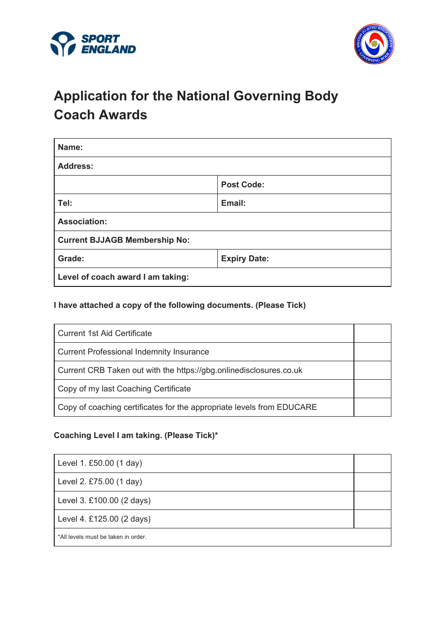



# **Application for the National Governing Body Coach Awards**

| Name:                                |                     |  |
|--------------------------------------|---------------------|--|
| <b>Address:</b>                      |                     |  |
|                                      | <b>Post Code:</b>   |  |
| Tel:                                 | Email:              |  |
| <b>Association:</b>                  |                     |  |
| <b>Current BJJAGB Membership No:</b> |                     |  |
| Grade:                               | <b>Expiry Date:</b> |  |
| Level of coach award I am taking:    |                     |  |

**I have attached a copy of the following documents. (Please Tick)**

| <b>Current 1st Aid Certificate</b>                                    |  |
|-----------------------------------------------------------------------|--|
| <b>Current Professional Indemnity Insurance</b>                       |  |
| Current CRB Taken out with the https://gbg.onlinedisclosures.co.uk    |  |
| Copy of my last Coaching Certificate                                  |  |
| Copy of coaching certificates for the appropriate levels from EDUCARE |  |

### **Coaching Level I am taking. (Please Tick)\***

| Level 1. £50.00 (1 day)             |  |
|-------------------------------------|--|
| Level 2. £75.00 (1 day)             |  |
| Level 3. £100.00 (2 days)           |  |
| Level 4. £125.00 (2 days)           |  |
| *All levels must be taken in order. |  |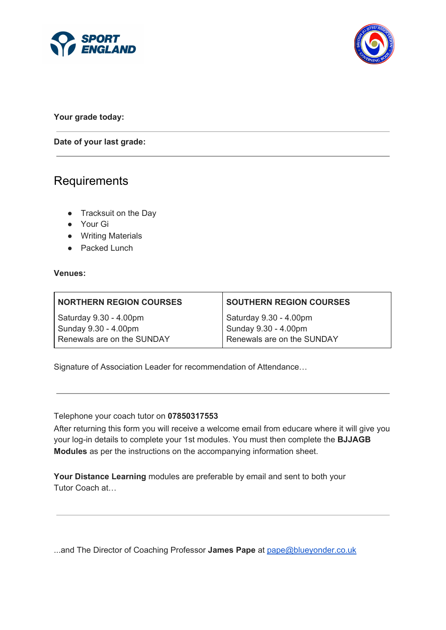



**Your grade today:**

**Date of your last grade:**

### **Requirements**

- Tracksuit on the Day
- Your Gi
- Writing Materials
- Packed Lunch

#### **Venues:**

| <b>NORTHERN REGION COURSES</b> | <b>SOUTHERN REGION COURSES</b> |
|--------------------------------|--------------------------------|
| Saturday 9.30 - 4.00pm         | Saturday 9.30 - 4.00pm         |
| Sunday 9.30 - 4.00pm           | Sunday 9.30 - 4.00pm           |
| Renewals are on the SUNDAY     | Renewals are on the SUNDAY     |
|                                |                                |

Signature of Association Leader for recommendation of Attendance…

Telephone your coach tutor on **07850317553**

After returning this form you will receive a welcome email from educare where it will give you your log-in details to complete your 1st modules. You must then complete the **BJJAGB Modules** as per the instructions on the accompanying information sheet.

**Your Distance Learning** modules are preferable by email and sent to both your Tutor Coach at…

...and The Director of Coaching Professor **James Pape** at [pape@blueyonder.co.uk](mailto:pape@blueyonder.co.uk)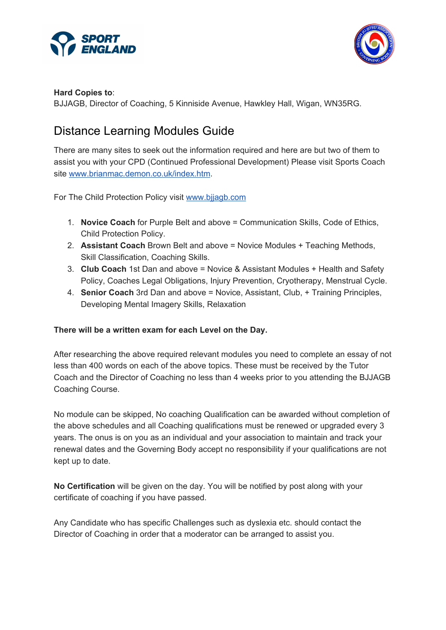



#### **Hard Copies to**:

BJJAGB, Director of Coaching, 5 Kinniside Avenue, Hawkley Hall, Wigan, WN35RG.

# Distance Learning Modules Guide

There are many sites to seek out the information required and here are but two of them to assist you with your CPD (Continued Professional Development) Please visit Sports Coach site [www.brianmac.demon.co.uk/index.htm](http://www.brianmac.demon.co.uk/index.htm).

For The Child Protection Policy visit [www.bjjagb.com](http://www.bjjagb.com/)

- 1. **Novice Coach** for Purple Belt and above = Communication Skills, Code of Ethics, Child Protection Policy.
- 2. **Assistant Coach** Brown Belt and above = Novice Modules + Teaching Methods, Skill Classification, Coaching Skills.
- 3. **Club Coach** 1st Dan and above = Novice & Assistant Modules + Health and Safety Policy, Coaches Legal Obligations, Injury Prevention, Cryotherapy, Menstrual Cycle.
- 4. **Senior Coach** 3rd Dan and above = Novice, Assistant, Club, + Training Principles, Developing Mental Imagery Skills, Relaxation

#### **There will be a written exam for each Level on the Day.**

After researching the above required relevant modules you need to complete an essay of not less than 400 words on each of the above topics. These must be received by the Tutor Coach and the Director of Coaching no less than 4 weeks prior to you attending the BJJAGB Coaching Course.

No module can be skipped, No coaching Qualification can be awarded without completion of the above schedules and all Coaching qualifications must be renewed or upgraded every 3 years. The onus is on you as an individual and your association to maintain and track your renewal dates and the Governing Body accept no responsibility if your qualifications are not kept up to date.

**No Certification** will be given on the day. You will be notified by post along with your certificate of coaching if you have passed.

Any Candidate who has specific Challenges such as dyslexia etc. should contact the Director of Coaching in order that a moderator can be arranged to assist you.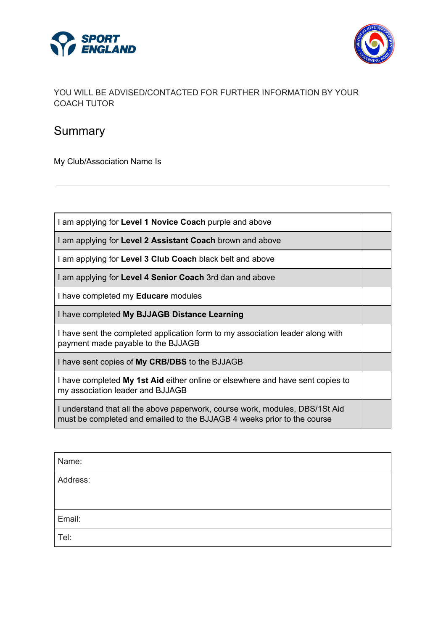



### YOU WILL BE ADVISED/CONTACTED FOR FURTHER INFORMATION BY YOUR COACH TUTOR

# **Summary**

My Club/Association Name Is

| I am applying for Level 1 Novice Coach purple and above                                                                                                 |  |
|---------------------------------------------------------------------------------------------------------------------------------------------------------|--|
| I am applying for Level 2 Assistant Coach brown and above                                                                                               |  |
| I am applying for Level 3 Club Coach black belt and above                                                                                               |  |
| I am applying for Level 4 Senior Coach 3rd dan and above                                                                                                |  |
| I have completed my Educare modules                                                                                                                     |  |
| I have completed My BJJAGB Distance Learning                                                                                                            |  |
| I have sent the completed application form to my association leader along with<br>payment made payable to the BJJAGB                                    |  |
| I have sent copies of My CRB/DBS to the BJJAGB                                                                                                          |  |
| I have completed My 1st Aid either online or elsewhere and have sent copies to<br>my association leader and BJJAGB                                      |  |
| I understand that all the above paperwork, course work, modules, DBS/1St Aid<br>must be completed and emailed to the BJJAGB 4 weeks prior to the course |  |

| Name:    |  |
|----------|--|
| Address: |  |
|          |  |
| Email:   |  |
| Tel:     |  |